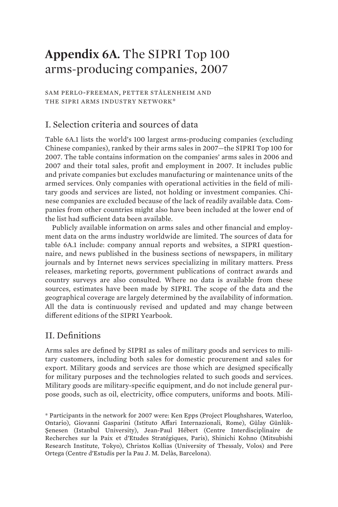# **Appendix 6A.** The SIPRI Top 100 arms-producing companies, 2007

SAM PERLO-FREEMAN, PETTER STÅLENHEIM AND THE SIPRI ARMS INDUSTRY NETWORK\*

## I. Selection criteria and sources of data

Table 6A.1 lists the world's 100 largest arms-producing companies (excluding Chinese companies), ranked by their arms sales in 2007—the SIPRI Top 100 for 2007. The table contains information on the companies' arms sales in 2006 and 2007 and their total sales, profit and employment in 2007. It includes public and private companies but excludes manufacturing or maintenance units of the armed services. Only companies with operational activities in the field of military goods and services are listed, not holding or investment companies. Chinese companies are excluded because of the lack of readily available data. Companies from other countries might also have been included at the lower end of the list had sufficient data been available.

Publicly available information on arms sales and other financial and employment data on the arms industry worldwide are limited. The sources of data for table 6A.1 include: company annual reports and websites, a SIPRI questionnaire, and news published in the business sections of newspapers, in military journals and by Internet news services specializing in military matters. Press releases, marketing reports, government publications of contract awards and country surveys are also consulted. Where no data is available from these sources, estimates have been made by SIPRI. The scope of the data and the geographical coverage are largely determined by the availability of information. All the data is continuously revised and updated and may change between different editions of the SIPRI Yearbook.

### II. Definitions

Arms sales are defined by SIPRI as sales of military goods and services to military customers, including both sales for domestic procurement and sales for export. Military goods and services are those which are designed specifically for military purposes and the technologies related to such goods and services. Military goods are military-specific equipment, and do not include general purpose goods, such as oil, electricity, office computers, uniforms and boots. Mili-

<sup>\*</sup> Participants in the network for 2007 were: Ken Epps (Project Ploughshares, Waterloo, Ontario), Giovanni Gasparini (Istituto Affari Internazionali, Rome), Gülay Günlük-Şenesen (Istanbul University), Jean-Paul Hébert (Centre Interdisciplinaire de Recherches sur la Paix et d'Etudes Stratégiques, Paris), Shinichi Kohno (Mitsubishi Research Institute, Tokyo), Christos Kollias (University of Thessaly, Volos) and Pere Ortega (Centre d'Estudis per la Pau J. M. Delàs, Barcelona).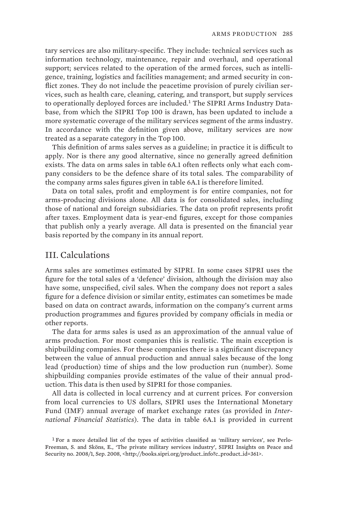tary services are also military-specific. They include: technical services such as information technology, maintenance, repair and overhaul, and operational support; services related to the operation of the armed forces, such as intelligence, training, logistics and facilities management; and armed security in conflict zones. They do not include the peacetime provision of purely civilian services, such as health care, cleaning, catering, and transport, but supply services to operationally deployed forces are included. $<sup>1</sup>$  The SIPRI Arms Industry Data-</sup> base, from which the SIPRI Top 100 is drawn, has been updated to include a more systematic coverage of the military services segment of the arms industry. In accordance with the definition given above, military services are now treated as a separate category in the Top 100.

This definition of arms sales serves as a guideline; in practice it is difficult to apply. Nor is there any good alternative, since no generally agreed definition exists. The data on arms sales in table 6A.1 often reflects only what each company considers to be the defence share of its total sales. The comparability of the company arms sales figures given in table 6A.1 is therefore limited.

Data on total sales, profit and employment is for entire companies, not for arms-producing divisions alone. All data is for consolidated sales, including those of national and foreign subsidiaries. The data on profit represents profit after taxes. Employment data is year-end figures, except for those companies that publish only a yearly average. All data is presented on the financial year basis reported by the company in its annual report.

#### III. Calculations

Arms sales are sometimes estimated by SIPRI. In some cases SIPRI uses the figure for the total sales of a 'defence' division, although the division may also have some, unspecified, civil sales. When the company does not report a sales figure for a defence division or similar entity, estimates can sometimes be made based on data on contract awards, information on the company's current arms production programmes and figures provided by company officials in media or other reports.

The data for arms sales is used as an approximation of the annual value of arms production. For most companies this is realistic. The main exception is shipbuilding companies. For these companies there is a significant discrepancy between the value of annual production and annual sales because of the long lead (production) time of ships and the low production run (number). Some shipbuilding companies provide estimates of the value of their annual production. This data is then used by SIPRI for those companies.

All data is collected in local currency and at current prices. For conversion from local currencies to US dollars, SIPRI uses the International Monetary Fund (IMF) annual average of market exchange rates (as provided in *International Financial Statistics*). The data in table 6A.1 is provided in current

<sup>1</sup> For a more detailed list of the types of activities classified as 'military services', see Perlo-Freeman, S. and Sköns, E., 'The private military services industry', SIPRI Insights on Peace and Security no. 2008/1, Sep. 2008, <http://books.sipri.org/product\_info?c\_product\_id=361>.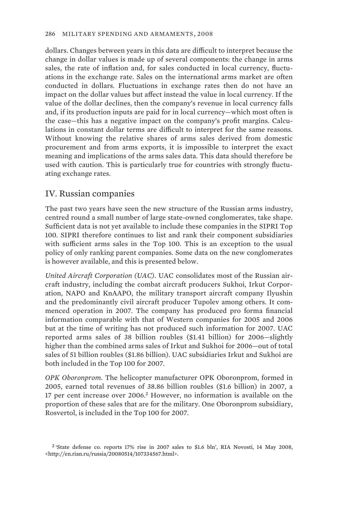dollars. Changes between years in this data are difficult to interpret because the change in dollar values is made up of several components: the change in arms sales, the rate of inflation and, for sales conducted in local currency, fluctuations in the exchange rate. Sales on the international arms market are often conducted in dollars. Fluctuations in exchange rates then do not have an impact on the dollar values but affect instead the value in local currency. If the value of the dollar declines, then the company's revenue in local currency falls and, if its production inputs are paid for in local currency—which most often is the case—this has a negative impact on the company's profit margins. Calculations in constant dollar terms are difficult to interpret for the same reasons. Without knowing the relative shares of arms sales derived from domestic procurement and from arms exports, it is impossible to interpret the exact meaning and implications of the arms sales data. This data should therefore be used with caution. This is particularly true for countries with strongly fluctuating exchange rates.

## IV. Russian companies

The past two years have seen the new structure of the Russian arms industry, centred round a small number of large state-owned conglomerates, take shape. Sufficient data is not yet available to include these companies in the SIPRI Top 100. SIPRI therefore continues to list and rank their component subsidiaries with sufficient arms sales in the Top 100. This is an exception to the usual policy of only ranking parent companies. Some data on the new conglomerates is however available, and this is presented below.

*United Aircraft Corporation (UAC).* UAC consolidates most of the Russian aircraft industry, including the combat aircraft producers Sukhoi, Irkut Corporation, NAPO and KnAAPO, the military transport aircraft company Ilyushin and the predominantly civil aircraft producer Tupolev among others. It commenced operation in 2007. The company has produced pro forma financial information comparable with that of Western companies for 2005 and 2006 but at the time of writing has not produced such information for 2007. UAC reported arms sales of 38 billion roubles (\$1.41 billion) for 2006—slightly higher than the combined arms sales of Irkut and Sukhoi for 2006—out of total sales of 51 billion roubles (\$1.86 billion). UAC subsidiaries Irkut and Sukhoi are both included in the Top 100 for 2007.

*OPK Oboronprom.* The helicopter manufacturer OPK Oboronprom, formed in 2005, earned total revenues of 38.86 billion roubles (\$1.6 billion) in 2007, a 17 per cent increase over 2006.<sup>2</sup> However, no information is available on the proportion of these sales that are for the military. One Oboronprom subsidiary, Rosvertol, is included in the Top 100 for 2007.

<sup>2</sup> 'State defense co. reports 17% rise in 2007 sales to \$1.6 bln', RIA Novosti, 14 May 2008, <http://en.rian.ru/russia/20080514/107334567.html>.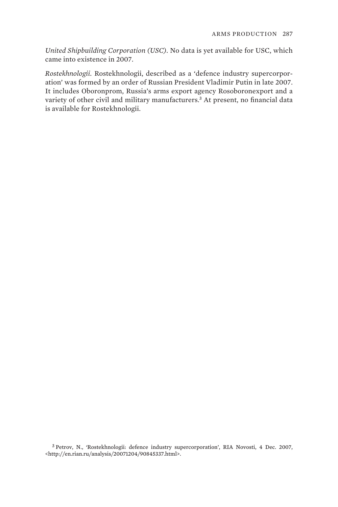*United Shipbuilding Corporation (USC).* No data is yet available for USC, which came into existence in 2007.

*Rostekhnologii.* Rostekhnologii, described as a 'defence industry supercorporation' was formed by an order of Russian President Vladimir Putin in late 2007. It includes Oboronprom, Russia's arms export agency Rosoboronexport and a variety of other civil and military manufacturers.<sup>3</sup> At present, no financial data is available for Rostekhnologii.

3 Petrov, N., 'Rostekhnologii: defence industry supercorporation', RIA Novosti, 4 Dec. 2007, <http://en.rian.ru/analysis/20071204/90845337.html>.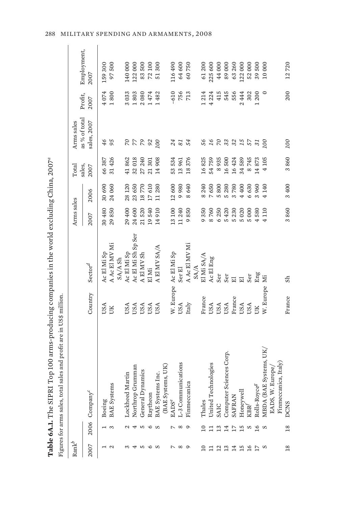|                          |                          | Top 100 arms-producing companies in the world excluding China, 2007 <sup>a</sup><br>Table 6A.1. The SIPRI |                  |                           |                       |                     |                |                              |                       |                        |
|--------------------------|--------------------------|-----------------------------------------------------------------------------------------------------------|------------------|---------------------------|-----------------------|---------------------|----------------|------------------------------|-----------------------|------------------------|
|                          |                          | sales and profit are in US\$ million.<br>Figures for arms sales, tota                                     |                  |                           |                       |                     |                |                              |                       |                        |
| $\mathrm{Rank}^b$        |                          |                                                                                                           |                  |                           | Arms sales            |                     | Total          | Arms sales                   |                       |                        |
| 2007                     |                          | 2006 Company <sup>c</sup>                                                                                 | Country          | $\operatorname{Sector}^d$ | 2007                  | 2006                | sales,<br>2007 | as % of total<br>sales, 2007 | Profit,<br>2007       | Employment,<br>2007    |
|                          |                          | Boeing                                                                                                    | USA              | Ac El Mi Sp               | 30480                 | 30690               | 66387          | 46                           | 4074                  | 159 300                |
| $\mathcal{L}$            | 3                        | <b>BAE</b> Systems                                                                                        | UK               | A Ac El MV Mi<br>SA/A Sh  | 29850                 | 24060               | 31 426         | 95                           | 1800                  | 500<br>97              |
|                          | $\mathcal{L}$            | Lockheed Martin                                                                                           | USA              | Ac El Mi Sp               | 29 400                | 28 1 20             | 41862          |                              | 3033                  | 140 000                |
|                          | 4                        | Northrop Grumman                                                                                          | USA              | Ac El Mi Sh Sp Ser        | 24 600                | 23650               | 32018          | <b>22</b>                    | 1803                  | 122000                 |
| w                        | S                        | General Dynamics                                                                                          | USA              | A El MV Sh                | 21520                 | 18770               | 27 240         | R 82                         | 2080                  | 83500                  |
| ∘                        | $\circ$                  | Raytheon                                                                                                  | USA              | El Mi                     | 540<br>$\frac{19}{1}$ | 17610               | 21 301         |                              | 1474                  | 72100                  |
| S                        | S                        | BAE Systems Inc.                                                                                          | USA              | A El MV SA/A              | 910<br>14             | 11280               | 14 908         | 100                          | 482<br>$\overline{a}$ | 300<br>51              |
|                          |                          | (BAE Systems, UK)                                                                                         |                  |                           |                       |                     |                |                              |                       |                        |
| $\overline{\phantom{0}}$ | $\overline{\phantom{0}}$ | $\text{EADS}^e$                                                                                           |                  | W. Europe Ac El Mi Sp     | 13 100                | 12600               | 53534          | 24                           | $-610$                | 116490                 |
| $^{\circ}$               | $\infty$                 | L-3 Communications                                                                                        | USA              | Ser <sub>El</sub>         | 11 240                | 9980                | 13961          | 81                           | 756                   | 64600                  |
| $\circ$                  | $\circ$                  | $_{\rm c}$<br>Finmeccani                                                                                  | $\mathrm{Italy}$ | A Ac El MV Mi             | 850<br>$\circ$        | 640<br>${}^{\circ}$ | 18376          | 54                           | 713                   | 60750                  |
|                          |                          |                                                                                                           |                  | SA/A                      |                       |                     |                |                              |                       |                        |
| $\overline{10}$          | $\overline{10}$          | Thales                                                                                                    | France           | El Mi SA/A                | 9350                  | 8 240               | 16825          | 95                           | 1214                  | 61200                  |
| 급                        | $\Xi$                    | United Technologies                                                                                       | USA              | Ac El Eng                 | 8760                  | 7650                | 54759          | $\mathfrak{Z}$               | 4 224                 | 225600                 |
| $\overline{12}$          | 13                       | <b>SAIC</b>                                                                                               | USA              | Ser                       | 6 250                 | 5800                | 8935           | $\sim$                       | 415                   | 44000                  |
| 13                       | 14                       | Computer Sciences Corp.                                                                                   | USA              | Ser                       | 5420                  | 5280                | 16500          | 33                           | 545                   | 89000                  |
| 14                       | $\overline{17}$          | <b>SAFRAN</b>                                                                                             | France           | $\overline{\mathbf{E}}$   | 5 230                 | 3780                | 16424          | 32                           | 556                   | 63260                  |
|                          | 15                       | Honeywell                                                                                                 | USA              | $\overline{\Xi}$          | 5020                  | 4 400               | 34589          | $15$<br>$57$                 | 444<br>$\mathcal{L}$  | 122000                 |
| $\overline{16}$          | $\frac{8}{16}$           | $\mbox{KBR}^f$                                                                                            | USA              | Ser                       | 5000                  | 6630                | 8745           |                              | 302                   | 52000                  |
|                          |                          | Rolls-Royce <sup>g</sup>                                                                                  | UK               | Eng                       | 580<br>4              | 3960                | 14873          | 21                           | 1200                  | 500<br>39 <sub>1</sub> |
| S                        | S                        | E Systems, UK,<br>MBDA (BA)                                                                               | W. Europe        | ΣÏ                        | 110<br>4              | 4140                | 4 105          | 100                          | $\circ$               | $10\ 000$              |
|                          |                          | Europe/<br>EADS, W.                                                                                       |                  |                           |                       |                     |                |                              |                       |                        |
|                          |                          | Finmeccanica, Italy)                                                                                      |                  |                           |                       |                     |                |                              |                       |                        |
| $\frac{8}{18}$           | $\overline{18}$          | <b>DCNS</b>                                                                                               | France           | Sh                        | 3860                  | 3400                | 3860           | 100                          | 200                   | 12720                  |

Table 6A.1. The SIPRI Top 100 arms-producing companies in the world excluding China, 2007<sup>a</sup> ŧ  $TTCA$ J.  $\mathcal{L}$ J,  $\ddot{\phantom{1}}$  $\frac{1}{2}$  $\overline{ }$  $\epsilon$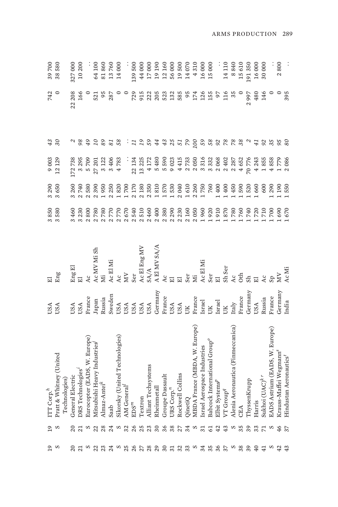|        | $\overline{0}$ | ITT Corp. <sup>h</sup>                           | <b>JSA</b>    | 급                       | 3850       | 3290  | 9003    |               | 742    | 39700  |
|--------|----------------|--------------------------------------------------|---------------|-------------------------|------------|-------|---------|---------------|--------|--------|
| s      |                | Pratt & Whitney (United                          | USA           | Eng                     | 3580       | 3650  | 12 129  | 30            |        | 38580  |
|        |                | Technologies)                                    |               |                         |            |       |         |               |        |        |
| 20     | 20             | General Electric                                 | <b>JSA</b>    | ${\rm Eng} \, {\rm El}$ | 3460       | 3 260 | 172738  |               | 22 208 | 327000 |
|        |                | DRS Technologies'                                | USA           |                         | 3 230      | 2740  | 3295    |               | 166    | 10200  |
|        |                | Eurocopter (EADS, W. Europe)                     | France        | Ac.                     | 800        | 2580  | 5709    |               |        |        |
| 22     |                | Mitsubishi Heavy Industries                      | Japan         | Ac MV Mi Sh             | 2780       | 2390  | 27 201  |               | 521    | 64100  |
|        | 28             | ${\bf Almax}\mbox{-}{\bf A}$ ntei $^k$           | Russia        | Ë                       | 2780       | 1950  | 3 122   | 89            | 95     | 81860  |
| 24     | 24             | Saab                                             | Sweden        | Ac El Mi                | 2770       | 2250  | 3406    | 81            | 287    | 13760  |
| S      | S              | Sikorsky (United Technologies)                   | USA           | Ac                      | 2770       | 1820  | 4783    | 58            |        | 14000  |
| 25     | 32             | AM General <sup>(</sup>                          | USA           | χ                       | 2670       | 1700  |         |               |        |        |
| 26     | 26             | EDS <sup>m</sup>                                 | USA           | Ser                     | 2540       | 2170  | 22 134  |               | 729    | .39500 |
|        | 25             | Textron                                          | USA           | Ac El Eng MV            | 2510       | 2 180 | 13 225  |               | 915    | 44000  |
| 28     | 23             | Alliant Techsystems                              | USA           | SA/A                    | 2460       | 2350  | 4 172   |               | 222    | 17000  |
| 29     | 30             | Rheinmetall                                      | Germany       | A El MV SA/A            | 2400       | 1810  | 5480    |               | 205    | 19190  |
| $30\,$ | 36             | Groupe Dassault                                  | France        | $\overline{AC}$         | 2380       | 1570  | 5590    | 43            | 523    | 12 160 |
| 31     | 38             | URS Corp. $^n$                                   | USA           |                         | 2 290      | [530] | 9023    | 25            | 132    | 56000  |
| 32     | 27             | Rockwell Collins                                 | USA           |                         | 2 2 3 0    | 2040  | 4415    | 51            | 585    | 19500  |
| 33     | 34             | QinetiQ                                          | UК            | Ser                     | 2 160      | 1610  | 2733    | $\mathcal{L}$ | 95     | 14070  |
| S      | S              | MBDA France (MBDA, W. Europe)                    | France        | Ë                       | 2050       | 2 260 | 2050    | 100           | 174    | 4310   |
| 34     |                | Israel Aerospace Industries                      | Israel        | Ac El Mi                | 1960       | 1750  | 3316    | 59            | 126    | 16000  |
| 35     | 61             | 3abcock International Group <sup>o</sup>         | UК            | Ser                     | .920       | 760   | 3332    | 58            | 155    | 15000  |
| 36     | 42             | Elbit Systems <sup>P</sup>                       | <b>Israel</b> |                         | 910        | 1400  | 2068    | $\mathcal{S}$ | 50     |        |
| 75     | 43             | $VT$ Group <sup>q</sup>                          | ŠК            | Sh Ser                  | 870        | 1400  | 2402    | 78            | 116    | 14110  |
| S      | S              | Alenia Aeronautica (Finmeccanica)                | Italy         | $\lambda c$             | 780        | 1450  | 2 2 8 7 | 28            | 35     | 8840   |
| 38     | 35             | CHA                                              | France        | <b>Sth</b>              | 760        | 1590  | 4652    |               |        | 15610  |
| 39     | 39             | ThyssenKrupp                                     | Germany       |                         | 740        | 520   | 70776   |               | 2997   | 191350 |
| 40     | 33             | Harris                                           | USA           |                         | 720        | .660  | 4 2 4 3 |               | 480    | 16000  |
|        |                | Sukhoi $(\mathbf{U}\mathbf{A}\mathbf{C})^{k\,r}$ | Russia        |                         | <b>710</b> | 600   | 1855    |               | 146    | 30000  |
|        |                | EADS Astrium (EADS, W. Europe)                   | France        |                         | 700        | 290   | 4858    | 35            |        |        |
|        | 46             | Krauss-Maffei Wegmann <sup>s</sup>               | Germany       | ΧŊ                      | 690        | .190  | 1779    | 56            |        | 2800   |
| 43     | 37             | Hindustan Aeronautics <sup>t</sup>               | India         | Ac Mi                   | 670        | 1550  | 2086    | 80            | 395    |        |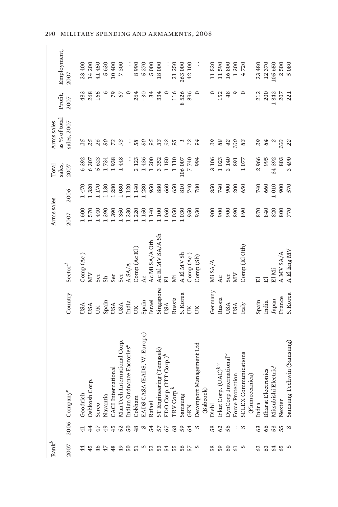| $\mathrm{Rank}^b$ |        |                                            |           |                           | Arms sales |         | Total          | Arms sales                   |                 |                     |
|-------------------|--------|--------------------------------------------|-----------|---------------------------|------------|---------|----------------|------------------------------|-----------------|---------------------|
| 2007              |        | 2006 Company <sup>c</sup>                  | Country   | $\operatorname{Sector}^d$ | 2007       | 2006    | sales,<br>2007 | as % of total<br>sales, 2007 | Profit,<br>2007 | Employment,<br>2007 |
|                   |        | Goodrich                                   | USA       | Comp (Ac)                 | 1600       | 1470    | 6392           | 25                           | 483             | 23400               |
| 45                | 44     | ġ.<br>Oshkosh Cor                          | USA       | À                         | 570        | 1320    | 6307           | 25                           | 268             | 14 200              |
| 46                |        | Serco                                      | ŬК        | Ser                       | 1440       | 1170    | 5623           | 26                           | 165             | 41450               |
| 47                | 49     | Navantia                                   | Spain     | S <sub>h</sub>            | 390        | 1130    | 1734           | 80                           |                 | 5630                |
| 48                | 45     | CACI International                         | USA       | Ser                       | 390        | 280     | 1938           | $\mathbb{Z}$                 |                 | 10400               |
| 49                | 52     | cernational Corp.<br>ManTech In            | USA       | Ser                       | 350        | 1080    | 1448           | 93                           | 67              | 7300                |
| $50\,$            | $50\,$ | Indian Ordnance Factories"                 | India     | A SA/A                    | 1230       | 1 1 2 0 |                | ÷                            |                 |                     |
| 51                | 48     | Cobham                                     | ÜК        | Comp (Ac El)              | 1220       | 1140    | 2 1 2 3        | 58                           | 264             | 8990                |
| S                 | S      | (EADS, W. Europe)<br>EADS CASA             | Spain     | Ac                        | 1150       | 1280    | 1436           | 80                           | $-30$           | 5270                |
| 52                | 54     | Rafael                                     | Israel    | Ac Mi SA/A Oth            | 1140       | 950     | $1\,200$       | 95                           | 34              | 5000                |
| 53                | 57     | ST Engineering (Temasek)                   | Singapore | Ac El MV SA/A Sh          | 1100       | 880     | 3352           | 33                           | 334             | 18000               |
| 54                | 67     | EDO Corp. (ITT Corp.) <sup>h</sup>         | USA       | 급                         | 1060       | 660     | 1150           | 92                           |                 |                     |
| 55                | 68     | TRV Corp. <sup>k</sup>                     | Russia    | ΣÏ                        | 1050       | 650     | 1110           | 95                           | 116             | 21250               |
| 56                | 59     | Samsung                                    | S. Korea  | A El MV Sh                | 1030       | 810     | 106 007        |                              | 8526            | 263000              |
| 57                | 64     | <b>GKN</b>                                 | ÜК        | Comp (Ac)                 | 950        | 740     | 7740           | $^{12}$                      | 396             | 42 100              |
| S                 | S      | Ianagement Ltd<br>Devonport M              | UК        | Comp (Sh)                 | 930        | 780     | 994            | 94                           | 0               |                     |
|                   |        | (Babcock)                                  |           |                           |            |         |                |                              |                 |                     |
| 58                | 58     | Diehl                                      | Germany   | Mi SA/A                   | 900        | 850     | 3106           | 29                           |                 | 11520               |
| 59                | 62     | $(\mathrm{UAC})^{k\;\nu}$<br>Irkut Corp. ( | Russia    | Ac                        | 900        | 740     | 1023           | 88                           | 152             | 11590               |
| $rac{60}{61}$     | 56     | DynCorp International <sup>w</sup>         | USA       | Ser                       | 900        | 900     | 2140           | 42                           | 48              | 16800               |
|                   |        | Force Protection                           | USA       | ЙM                        | 890        | 200     | <b>L68</b>     | 100                          | Q               | 1300                |
| S                 | S      | SELEX Communications                       | Italy     | Comp (El Oth)             | 890        | 650     | 1077           | 83                           | $\circ$         | 4720                |
|                   |        | (Finmeccanica)                             |           |                           |            |         |                |                              |                 |                     |
| 62                | 63     | Indra                                      | Spain     | 冨                         | 870        | 740     | 2966           | 29                           | 212             | 23 480              |
| $63$              | 66     | <b>Bharat Electronics</b>                  | India     | 冨                         | 840        | 660     | 995            | 84                           | 200             | 12370               |
| 64                | 53     | Mitsubishi Electric                        | Japan     | El Mi                     | 820        | 010     | 34 392         |                              | 342             | 105650              |
| 65                | 55     | Nexter                                     | France    | A MV SA/A                 | 800        | 900     | 803            | 00                           | 207             | 2500                |
| S                 | S      | Samsung Techwin (Samsung)                  | S. Korea  | A El Eng MV               | 770        | 570     | 490<br>3       | 22                           | 221             | 5080                |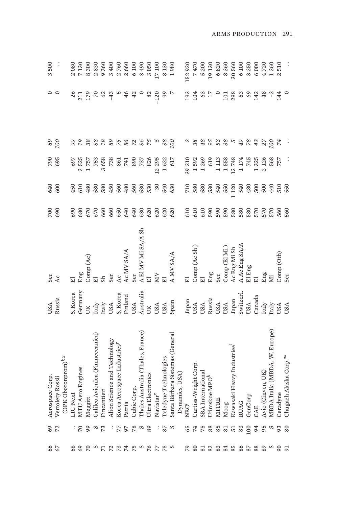| 3500            |                  |                                                      | 2080     | 7130             | 8300      | 2830                            | 9360             | 3400                         | 2760                        | 2660       | 6 100       | 3490                              | 3050              | 17100                    | 8130                  | 1980                            |                | 152920         | 7470                                                                                     | 5 200             | 19130                     | 6820  | 8360                      | 30560                     | 6 100         | 3 250   | 6000           | 4720                        | 1260                          | 2510                       |                                    |
|-----------------|------------------|------------------------------------------------------|----------|------------------|-----------|---------------------------------|------------------|------------------------------|-----------------------------|------------|-------------|-----------------------------------|-------------------|--------------------------|-----------------------|---------------------------------|----------------|----------------|------------------------------------------------------------------------------------------|-------------------|---------------------------|-------|---------------------------|---------------------------|---------------|---------|----------------|-----------------------------|-------------------------------|----------------------------|------------------------------------|
|                 |                  |                                                      | 26       | 211              | 179       | $\overline{0}$                  | 62               | $-43$                        |                             | 46         | 42          |                                   | 82                | $-120$                   | 99                    |                                 |                | 193            | 104                                                                                      | 63                |                           |       | 101                       | 298                       | 63            | $69$    | 142            | 48                          | $\overline{c}$                | 144                        |                                    |
| $89$            | 100              |                                                      |          |                  |           | $88\,$                          | 18               | 89                           | <b>222222</b>               |            |             |                                   |                   |                          |                       | 00                              |                |                | 38                                                                                       | $48$              | 95                        | 53    | 38                        |                           | 49            | $78$    | 43             | 27                          | 100                           | 74                         |                                    |
| 790             | 695              |                                                      | 697      | 3525             | 1757      | 753                             | 3658             | 738                          | 861                         | 741        | 890         | 737                               | 826               | 12 295                   | 1622                  | 617                             |                | 39 210         | 1592                                                                                     | 1269              | 619                       | 1113  | 1558                      | 12748                     | 1174          | 745     | 1325           | 2 126                       | 568                           | 757                        |                                    |
| 640             | 600              |                                                      | 450      | 610              | 480       | 580                             | 580              | 450                          | 560                         | 480        | 560         | 530                               | 530               | $\overline{\mathrm{30}}$ | 540                   | 630                             |                | 710            | 580                                                                                      | 580               | 530                       | 540   | 550                       | 1120                      | 540           | 480     | 500            | 500                         | 440                           | 510                        | 550                                |
| 700             | 690              |                                                      | 690      | 680              | 670       | 670                             | 660              | 660                          | 650                         | 640        | 640         | 630                               | 620               | 620                      | 620                   | 620                             |                | 610            | 610                                                                                      | 610               | 590                       | 590   | 590                       | 580                       | 580           | 580     |                | 570<br>570                  | 570                           | 560                        | 560                                |
| Ser             | Ac               |                                                      |          | Eng              | Comp (Ac) |                                 | Sh               | Ser                          | Ac                          | Ac MV SA/A | Ser         | A El MV Mi SA/A Sh                |                   | χ                        |                       | A MV SA/A                       |                | $\overline{E}$ | Comp (Ac Sh)                                                                             | $\overline{E}$    | Eng                       | Ser   | Comp (El Mi)              | Ac Eng Mi Sh              | A Ac Eng SA/A | El Eng  | $\overline{E}$ | Eng                         |                               | Comp(Oth)                  | Ser                                |
| USA             | Russia           |                                                      | S. Korea | Germany          | UК        | $\rm{Italy}$                    | $\mathrm{Italy}$ | USA                          | S. Korea                    | Finland    | USA         | Australia                         | UK                | USA                      | USA                   | Spain                           |                |                | $\begin{array}{c} \text{Japan} \\ \text{USA} \\ \text{USA} \\ \text{Russia} \end{array}$ |                   |                           | USA   | USA<br>Japan<br>Switzerl. |                           |               | USA     | Canada         | $\ensuremath{\text{ftaly}}$ |                               | <b>Traly</b><br>USA<br>USA |                                    |
| Aerospace Corp. | Vertolety Rossii | $\left(\text{OPK}\, \text{Oboronprom}\right)^{k\,x}$ | LIGNex1  | MTU Aero Engines | Meggitt   | Galileo Avionica (Finmeccanica) | Fincantieri      | Alion Science and Technology | Korea Aerospace Industries" | Patria     | Cubic Corp. | Thales Australia (Thales, France) | Ultra Electronics | Navistar <sup>z</sup>    | Feledyne Technologies | Santa Bárbara Sistemas (General | Dynamics, USA) | NEC            | Curtiss-Wright Corp.                                                                     | SRA International | Ufimskoe MPO <sup>k</sup> | MITRE | Moog                      | Kawasaki Heavy Industries | RUAG          | GenCorp | CAE            | Avio (Cinven, UK)           | MBDA Italia (MBDA, W. Europe) | Ceradyne                   | Chugach Alaska Corp. <sup>aa</sup> |
| 69              | 72               |                                                      |          |                  | 99        |                                 | 73               |                              |                             | 56         | 78          |                                   | 89                |                          | 78                    | S                               |                | 65             | 74                                                                                       | 75                | 88                        | 85    | 81                        | 51                        | 83            | 100     | 94             | 95                          |                               | 93                         | 80                                 |
| 66              | 67               |                                                      | 68       | 69               | 70        | S                               |                  | 72                           | 73                          |            | 5000        |                                   |                   | 77                       | 78                    | S                               |                | 64             | 80                                                                                       | 81                | $82\,$                    | 83    | 84                        | 85                        | 86            | 78      | 88             | 89                          | S                             | $\mathcal{S}^0$            | 91                                 |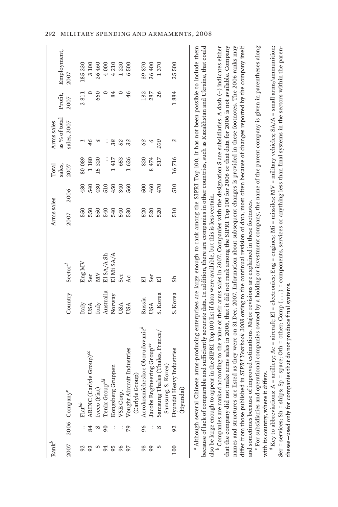| $\mathrm{Rank}^b$ |    |                                                                                                                                                                                  |           |                     | Arms sales |      | Total          | Arms sales                   |                 |                     |
|-------------------|----|----------------------------------------------------------------------------------------------------------------------------------------------------------------------------------|-----------|---------------------|------------|------|----------------|------------------------------|-----------------|---------------------|
|                   |    | 2007 2006 Company <sup>c</sup>                                                                                                                                                   | Country   | Sector <sup>d</sup> | 2007       | 2006 | sales,<br>2007 | as % of total<br>sales, 2007 | Profit,<br>2007 | Employment,<br>2007 |
| 92                |    | $\text{Fit}^{bb}$                                                                                                                                                                | Italy     | Eng MV              | 550        | 430  | 80089          |                              | 2811            | 185230              |
|                   | 84 | ARINC (Carlyle Group) <sup>cc</sup>                                                                                                                                              | USA       | Ser                 | 550        | 540  | 1180           | 46                           |                 | 3100                |
|                   |    | Iveco (Fiat)                                                                                                                                                                     | Italy     | ЙM                  | 550        | 430  | 15320          | 4                            | 660             | 26460               |
|                   |    | Tenix Group <sup>dd</sup>                                                                                                                                                        | Australia | El SA/A Sh          | 540        | 510  | $\ddot{\cdot}$ | $\vdots$                     |                 | 4000                |
|                   |    | Kongsberg Gruppen                                                                                                                                                                | Norway    | El Mi SA/A          | 540        | 450  | 1417           | 38                           | 84              | 4210                |
|                   |    | VSE Corp.                                                                                                                                                                        | USA       | Ser                 | 540        | 340  | 653            | 82                           |                 | 1220                |
|                   | 20 | Vought Aircraft Industries                                                                                                                                                       | USA       | Ac                  | 530        | 560  | 1626           | 33                           | 46              | 6500                |
|                   |    | (Carlyle Group)                                                                                                                                                                  |           |                     |            |      |                |                              |                 |                     |
| 98                | 96 | Aerokosmicheskoe Oborudovaniek                                                                                                                                                   | Russia    | $\overline{E}$      | 520        | 500  | 820            | 63                           | 132             | 39870               |
| 99                |    | Jacobs Engineering Group <sup>ee</sup>                                                                                                                                           | USA       | Ser                 | 520        | 460  | 8474           |                              | 287             | 36400               |
|                   |    | Samsung Thales (Thales, France/                                                                                                                                                  | S. Korea  | 冚                   | 520        | 470  | 517            | <b>DOI</b>                   | 26              | 1370                |
|                   |    | Samsung, S. Korea)                                                                                                                                                               |           |                     |            |      |                |                              |                 |                     |
| 100               | 92 | Hyundai Heavy Industries                                                                                                                                                         | S. Korea  | Sh                  | 510        | 510  | 16716          | 3                            | 1884            | 25500               |
|                   |    | (Hyundai)                                                                                                                                                                        |           |                     |            |      |                |                              |                 |                     |
|                   |    | $^a$ Although several Chinese arms-producing enterprises are large enough to rank among the SIPRI Top 100, it has not been possible to include them                              |           |                     |            |      |                |                              |                 |                     |
|                   |    | because of lack of comparable and sufficiently accurate data. In addition, there are companies in other countries, such as Kazakhstan and Ukraine, that could                    |           |                     |            |      |                |                              |                 |                     |
|                   |    | also be large enough to appear in the SIPRI Top 100 list if data were available, but this is less certain.                                                                       |           |                     |            |      |                |                              |                 |                     |
|                   |    | according to the value of their arms sales in 2007. Companies with the designation S are subsidiaries. A dash $(-)$ indicates either<br><sup><i>D</i></sup> Companies are ranked |           |                     |            |      |                |                              |                 |                     |

that the company did not make arms sales in 2006, that it did not rank among the SIPRI Top 100 for 2006 or that data for 2006 is not available. Company names and structures are listed as they were on 31 Dec. 2007. Information about subsequent changes is provided in these footnotes. The 2006 ranks may names and structures are listed as they were on 31 Dec. 2007. Information about subsequent changes is provided in these footnotes. The 2006 ranks may differ from those published in SIPRI Yearbook 2008 owing to the continual revision of data, most often because of changes reported by the company itself differ from those published in *SIPRI Yearbook 2008* owing to the continual revision of data, most often because of changes reported by the company itself and sometimes because of improved estimations. Major revisions are explained in these footnotes.<br>' For subsidiaries and operational companies owned by a holding or investment company, the name of the parent company is give Companies are ranked according to the value of their arms sales in 2007. Companies with the designation S are subsidiaries. A dash (-) indicates either that the company did not make arms sales in 2006, that it did not rank among the SIPRI Top 100 for 2006 or that data for 2006 is not available. Company and sometimes because of improved estimations. Major revisions are explained in these footnotes.

' For subsidiaries and operational companies owned by a holding or investment company, the name of the parent company is given in parentheses along with its country, where it differs.<br><sup>d</sup>Key to abbreviations: A = artillery; Ac = aircraft; El = electronics; Eng = engines; Mi = missiles; MV = military vehicles; SA/A = small arms/ammunition; with its country, where it differs.

 $^d$ Key to abbreviations: A = artillery; Ac = aircraft; El = electronics; Eng = engines; Mi = missiles; MV = military vehicles; SA/A = small arms/ammunition; Ser = services; Sh = ships; Sp = space; Oth = other; Comp (...) = components, services or anything less than final systems in the sectors within the paren-Ser = services; Sh = ships; Sp = space; Oth = other; Comp ( . . . ) = components, services or anything less than final systems in the sectors within the parentheses—used only for companies that do not produce final systems. theses-used only for companies that do not produce final systems.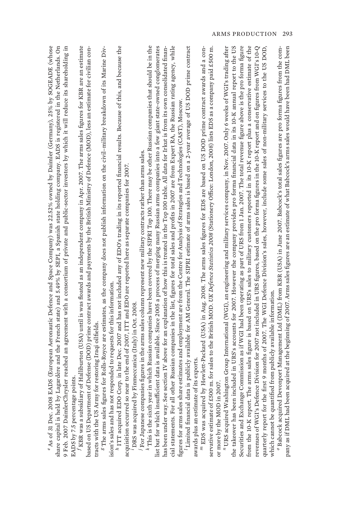ARMS PRODUCTION 293